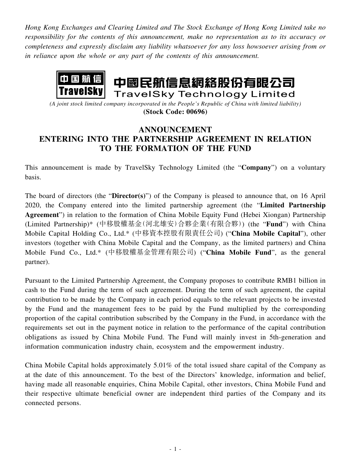*Hong Kong Exchanges and Clearing Limited and The Stock Exchange of Hong Kong Limited take no responsibility for the contents of this announcement, make no representation as to its accuracy or completeness and expressly disclaim any liability whatsoever for any loss howsoever arising from or in reliance upon the whole or any part of the contents of this announcement.*



*(A joint stock limited company incorporated in the People's Republic of China with limited liability)* **(Stock Code: 00696)**

## **ANNOUNCEMENT ENTERING INTO THE PARTNERSHIP AGREEMENT IN RELATION TO THE FORMATION OF THE FUND**

This announcement is made by TravelSky Technology Limited (the "**Company**") on a voluntary basis.

The board of directors (the "**Director(s)**") of the Company is pleased to announce that, on 16 April 2020, the Company entered into the limited partnership agreement (the "**Limited Partnership Agreement**") in relation to the formation of China Mobile Equity Fund (Hebei Xiongan) Partnership (Limited Partnership)\* (中移股權基金(河北雄安)合夥企業(有限合夥)) (the "**Fund**") with China Mobile Capital Holding Co., Ltd.\* (中移資本控股有限責任公司) ("**China Mobile Capital**"), other investors (together with China Mobile Capital and the Company, as the limited partners) and China Mobile Fund Co., Ltd.\* (中移股權基金管理有限公司) ("**China Mobile Fund**", as the general partner).

Pursuant to the Limited Partnership Agreement, the Company proposes to contribute RMB1 billion in cash to the Fund during the term of such agreement. During the term of such agreement, the capital contribution to be made by the Company in each period equals to the relevant projects to be invested by the Fund and the management fees to be paid by the Fund multiplied by the corresponding proportion of the capital contribution subscribed by the Company in the Fund, in accordance with the requirements set out in the payment notice in relation to the performance of the capital contribution obligations as issued by China Mobile Fund. The Fund will mainly invest in 5th-generation and information communication industry chain, ecosystem and the empowerment industry.

China Mobile Capital holds approximately 5.01% of the total issued share capital of the Company as at the date of this announcement. To the best of the Directors' knowledge, information and belief, having made all reasonable enquiries, China Mobile Capital, other investors, China Mobile Fund and their respective ultimate beneficial owner are independent third parties of the Company and its connected persons.